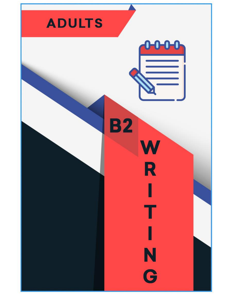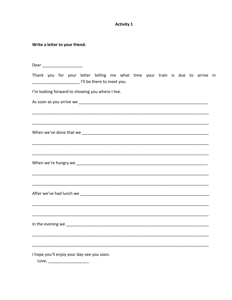# Write a letter to your friend.

|  |  |                                            |                                                  | Thank you for your letter telling me what time your train is due to arrive in |  |  |  |  |
|--|--|--------------------------------------------|--------------------------------------------------|-------------------------------------------------------------------------------|--|--|--|--|
|  |  |                                            | I'm looking forward to showing you where I live. |                                                                               |  |  |  |  |
|  |  |                                            |                                                  |                                                                               |  |  |  |  |
|  |  |                                            |                                                  |                                                                               |  |  |  |  |
|  |  |                                            |                                                  |                                                                               |  |  |  |  |
|  |  |                                            |                                                  |                                                                               |  |  |  |  |
|  |  |                                            |                                                  |                                                                               |  |  |  |  |
|  |  |                                            |                                                  |                                                                               |  |  |  |  |
|  |  | I hope you'll enjoy your day-see you soon. |                                                  |                                                                               |  |  |  |  |

Love, \_\_\_\_\_\_\_\_\_\_\_\_\_\_\_\_\_\_\_\_\_\_\_\_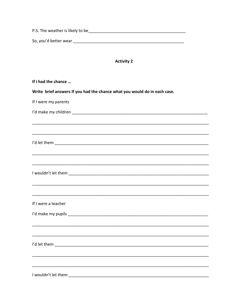| <b>Activity 2</b>                                                                                                                            |
|----------------------------------------------------------------------------------------------------------------------------------------------|
| If I had the chance                                                                                                                          |
| Write brief answers If you had the chance what you would do in each case.                                                                    |
| If I were my parents                                                                                                                         |
|                                                                                                                                              |
| ,我们就会在这里的人,我们就会在这里的人,我们就会在这里的人,我们就会在这里,我们就会在这里的人,我们就会在这里,我们就会在这里的人,我们就会在这里的人,我们就                                                             |
|                                                                                                                                              |
|                                                                                                                                              |
|                                                                                                                                              |
|                                                                                                                                              |
| <u> 1989 - Johann Stoff, deutscher Stoff, der Stoff, der Stoff, der Stoff, der Stoff, der Stoff, der Stoff, der S</u><br>If I were a teacher |
|                                                                                                                                              |
|                                                                                                                                              |
|                                                                                                                                              |
|                                                                                                                                              |
|                                                                                                                                              |
| I wouldn't let them                                                                                                                          |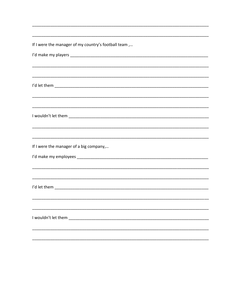| If I were the manager of my country's football team, |
|------------------------------------------------------|
|                                                      |
|                                                      |
|                                                      |
|                                                      |
|                                                      |
|                                                      |
|                                                      |
|                                                      |
|                                                      |
| If I were the manager of a big company,              |
|                                                      |
|                                                      |
|                                                      |
|                                                      |
|                                                      |
|                                                      |
|                                                      |
|                                                      |
|                                                      |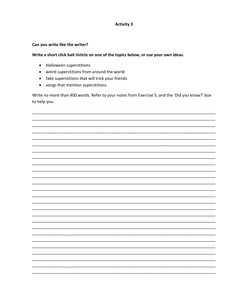#### Can you write like the writer?

## Write a short click bait listicle on one of the topics below, or use your own ideas.

- Halloween superstitions
- weird superstitions from around the world
- fake superstitions that will trick your friends
- songs that mention superstitions

Write no more than 400 words. Refer to your notes from Exercise 5, and the 'Did you know?' box to help you.

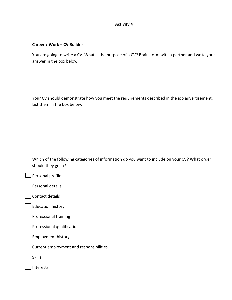## **Career / Work – CV Builder**

You are going to write a CV. What is the purpose of a CV? Brainstorm with a partner and write your answer in the box below.

Your CV should demonstrate how you meet the requirements described in the job advertisement. List them in the box below.

| Which of the following categories of information do you want to include on your CV? What order |
|------------------------------------------------------------------------------------------------|
| should they go in?                                                                             |
| Personal profile                                                                               |
| Personal details                                                                               |
| Contact details                                                                                |
| <b>Education history</b>                                                                       |
| Professional training                                                                          |
| Professional qualification                                                                     |
| <b>Employment history</b>                                                                      |
| Current employment and responsibilities                                                        |
| <b>Skills</b>                                                                                  |
| Interests                                                                                      |
|                                                                                                |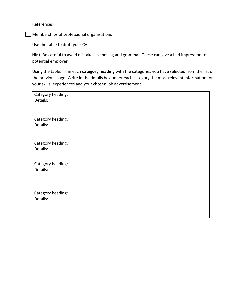References

Memberships of professional organisations

Use the table to draft your CV.

**Hint:** Be careful to avoid mistakes in spelling and grammar. These can give a bad impression to a potential employer.

Using the table, fill in each **category heading** with the categories you have selected from the list on the previous page. Write in the details box under each category the most relevant information for your skills, experiences and your chosen job advertisement.

| Category heading: |
|-------------------|
| Details:          |
|                   |
|                   |
| Category heading: |
| Details:          |
|                   |
|                   |
| Category heading: |
| Details:          |
|                   |
|                   |
| Category heading: |
| Details:          |
|                   |
|                   |
|                   |
| Category heading: |
| Details:          |
|                   |
|                   |
|                   |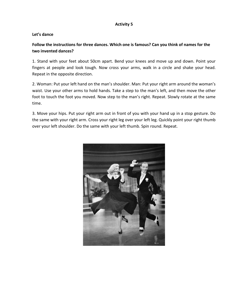## **Let's dance**

# **Follow the instructions for three dances. Which one is famous? Can you think of names for the two invented dances?**

1. Stand with your feet about 50cm apart. Bend your knees and move up and down. Point your fingers at people and look tough. Now cross your arms, walk in a circle and shake your head. Repeat in the opposite direction.

2. Woman: Put your left hand on the man's shoulder. Man: Put your right arm around the woman's waist. Use your other arms to hold hands. Take a step to the man's left, and then move the other foot to touch the foot you moved. Now step to the man's right. Repeat. Slowly rotate at the same time.

3. Move your hips. Put your right arm out in front of you with your hand up in a stop gesture. Do the same with your right arm. Cross your right leg over your left leg. Quickly point your right thumb over your left shoulder. Do the same with your left thumb. Spin round. Repeat.

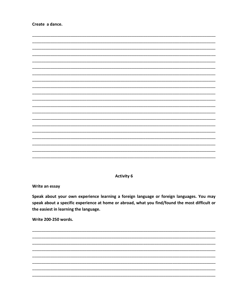

Write an essay

Speak about your own experience learning a foreign language or foreign languages. You may speak about a specific experience at home or abroad, what you find/found the most difficult or the easiest in learning the language.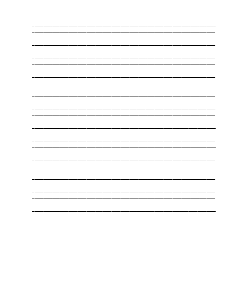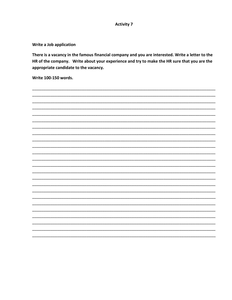Write a Job application

There is a vacancy in the famous financial company and you are interested. Write a letter to the HR of the company. Write about your experience and try to make the HR sure that you are the appropriate candidate to the vacancy.

**Write 100-150 words.** 

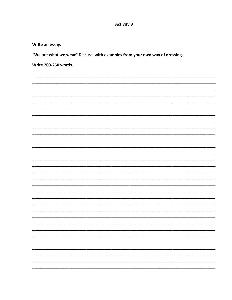Write an essay.

"We are what we wear" Discuss, with examples from your own way of dressing.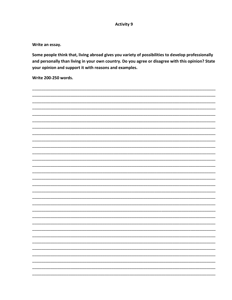Write an essay.

Some people think that, living abroad gives you variety of possibilities to develop professionally and personally than living in your own country. Do you agree or disagree with this opinion? State your opinion and support it with reasons and examples.